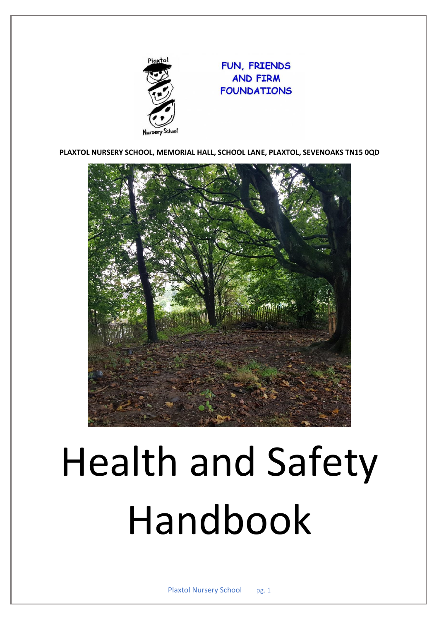

## FUN, FRIENDS **AND FIRM FOUNDATIONS**

**PLAXTOL NURSERY SCHOOL, MEMORIAL HALL, SCHOOL LANE, PLAXTOL, SEVENOAKS TN15 0QD**



# Health and Safety Handbook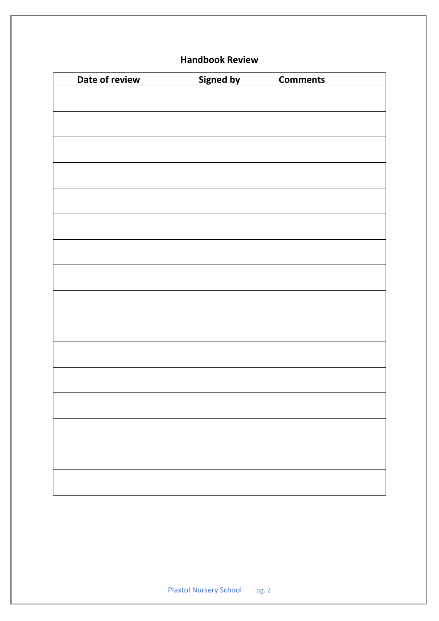## **Handbook Review**

| Date of review | <b>Signed by</b> | <b>Comments</b> |
|----------------|------------------|-----------------|
|                |                  |                 |
|                |                  |                 |
|                |                  |                 |
|                |                  |                 |
|                |                  |                 |
|                |                  |                 |
|                |                  |                 |
|                |                  |                 |
|                |                  |                 |
|                |                  |                 |
|                |                  |                 |
|                |                  |                 |
|                |                  |                 |
|                |                  |                 |
|                |                  |                 |
|                |                  |                 |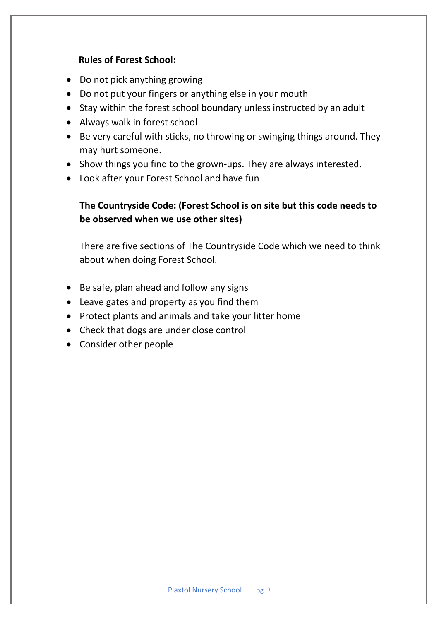#### **Rules of Forest School:**

- Do not pick anything growing
- Do not put your fingers or anything else in your mouth
- Stay within the forest school boundary unless instructed by an adult
- Always walk in forest school
- Be very careful with sticks, no throwing or swinging things around. They may hurt someone.
- Show things you find to the grown-ups. They are always interested.
- Look after your Forest School and have fun

### **The Countryside Code: (Forest School is on site but this code needs to be observed when we use other sites)**

There are five sections of The Countryside Code which we need to think about when doing Forest School.

- Be safe, plan ahead and follow any signs
- Leave gates and property as you find them
- Protect plants and animals and take your litter home
- Check that dogs are under close control
- Consider other people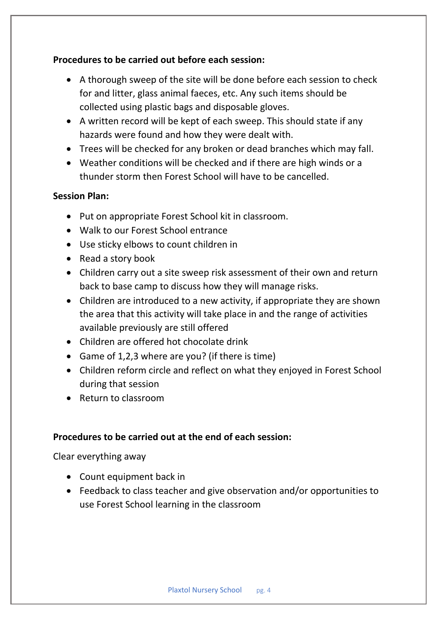#### **Procedures to be carried out before each session:**

- A thorough sweep of the site will be done before each session to check for and litter, glass animal faeces, etc. Any such items should be collected using plastic bags and disposable gloves.
- A written record will be kept of each sweep. This should state if any hazards were found and how they were dealt with.
- Trees will be checked for any broken or dead branches which may fall.
- Weather conditions will be checked and if there are high winds or a thunder storm then Forest School will have to be cancelled.

#### **Session Plan:**

- Put on appropriate Forest School kit in classroom.
- Walk to our Forest School entrance
- Use sticky elbows to count children in
- Read a story book
- Children carry out a site sweep risk assessment of their own and return back to base camp to discuss how they will manage risks.
- Children are introduced to a new activity, if appropriate they are shown the area that this activity will take place in and the range of activities available previously are still offered
- Children are offered hot chocolate drink
- Game of 1,2,3 where are you? (if there is time)
- Children reform circle and reflect on what they enjoyed in Forest School during that session
- Return to classroom

### **Procedures to be carried out at the end of each session:**

Clear everything away

- Count equipment back in
- Feedback to class teacher and give observation and/or opportunities to use Forest School learning in the classroom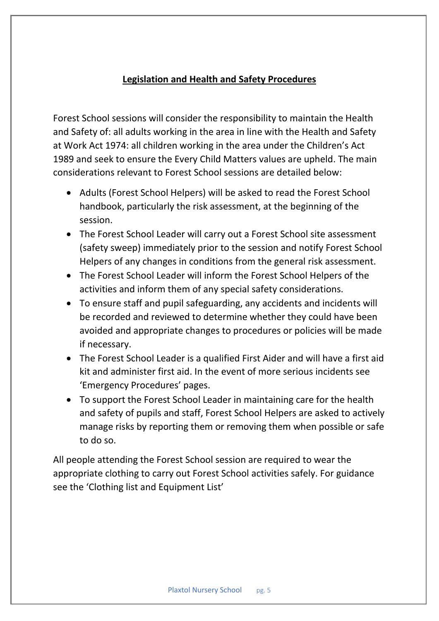#### **Legislation and Health and Safety Procedures**

Forest School sessions will consider the responsibility to maintain the Health and Safety of: all adults working in the area in line with the Health and Safety at Work Act 1974: all children working in the area under the Children's Act 1989 and seek to ensure the Every Child Matters values are upheld. The main considerations relevant to Forest School sessions are detailed below:

- Adults (Forest School Helpers) will be asked to read the Forest School handbook, particularly the risk assessment, at the beginning of the session.
- The Forest School Leader will carry out a Forest School site assessment (safety sweep) immediately prior to the session and notify Forest School Helpers of any changes in conditions from the general risk assessment.
- The Forest School Leader will inform the Forest School Helpers of the activities and inform them of any special safety considerations.
- To ensure staff and pupil safeguarding, any accidents and incidents will be recorded and reviewed to determine whether they could have been avoided and appropriate changes to procedures or policies will be made if necessary.
- The Forest School Leader is a qualified First Aider and will have a first aid kit and administer first aid. In the event of more serious incidents see 'Emergency Procedures' pages.
- To support the Forest School Leader in maintaining care for the health and safety of pupils and staff, Forest School Helpers are asked to actively manage risks by reporting them or removing them when possible or safe to do so.

All people attending the Forest School session are required to wear the appropriate clothing to carry out Forest School activities safely. For guidance see the 'Clothing list and Equipment List'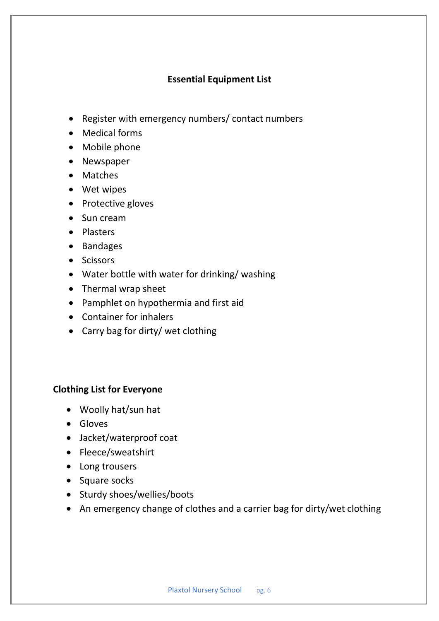#### **Essential Equipment List**

- Register with emergency numbers/ contact numbers
- Medical forms
- Mobile phone
- Newspaper
- Matches
- Wet wipes
- Protective gloves
- Sun cream
- Plasters
- Bandages
- Scissors
- Water bottle with water for drinking/ washing
- Thermal wrap sheet
- Pamphlet on hypothermia and first aid
- Container for inhalers
- Carry bag for dirty/ wet clothing

#### **Clothing List for Everyone**

- Woolly hat/sun hat
- Gloves
- Jacket/waterproof coat
- Fleece/sweatshirt
- Long trousers
- Square socks
- Sturdy shoes/wellies/boots
- An emergency change of clothes and a carrier bag for dirty/wet clothing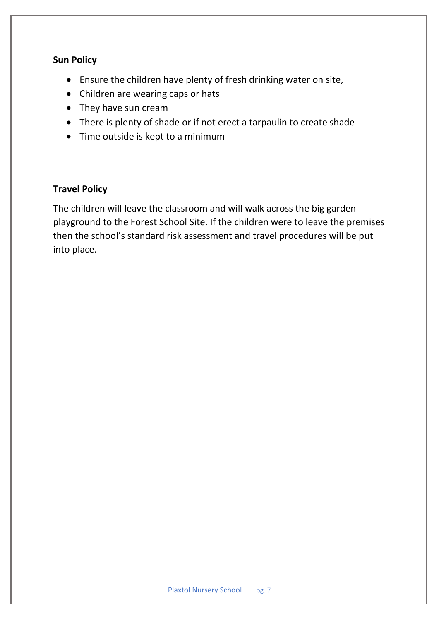#### **Sun Policy**

- Ensure the children have plenty of fresh drinking water on site,
- Children are wearing caps or hats
- They have sun cream
- There is plenty of shade or if not erect a tarpaulin to create shade
- Time outside is kept to a minimum

#### **Travel Policy**

The children will leave the classroom and will walk across the big garden playground to the Forest School Site. If the children were to leave the premises then the school's standard risk assessment and travel procedures will be put into place.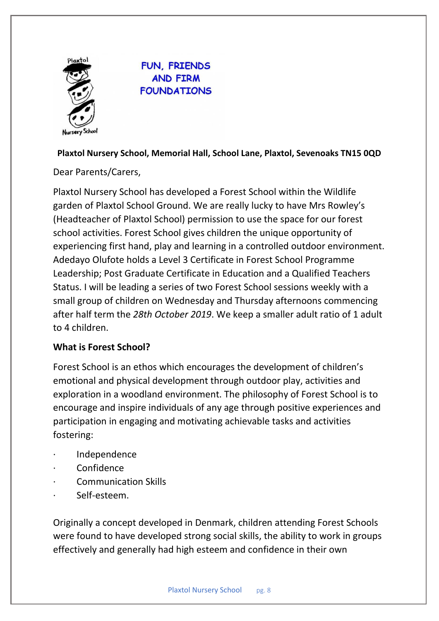

FUN, FRIENDS **AND FIRM FOUNDATIONS** 

#### **Plaxtol Nursery School, Memorial Hall, School Lane, Plaxtol, Sevenoaks TN15 0QD**

Dear Parents/Carers,

Plaxtol Nursery School has developed a Forest School within the Wildlife garden of Plaxtol School Ground. We are really lucky to have Mrs Rowley's (Headteacher of Plaxtol School) permission to use the space for our forest school activities. Forest School gives children the unique opportunity of experiencing first hand, play and learning in a controlled outdoor environment. Adedayo Olufote holds a Level 3 Certificate in Forest School Programme Leadership; Post Graduate Certificate in Education and a Qualified Teachers Status. I will be leading a series of two Forest School sessions weekly with a small group of children on Wednesday and Thursday afternoons commencing after half term the *28th October 2019*. We keep a smaller adult ratio of 1 adult to 4 children.

#### **What is Forest School?**

Forest School is an ethos which encourages the development of children's emotional and physical development through outdoor play, activities and exploration in a woodland environment. The philosophy of Forest School is to encourage and inspire individuals of any age through positive experiences and participation in engaging and motivating achievable tasks and activities fostering:

- · Independence
- · Confidence
- · Communication Skills
- Self-esteem.

Originally a concept developed in Denmark, children attending Forest Schools were found to have developed strong social skills, the ability to work in groups effectively and generally had high esteem and confidence in their own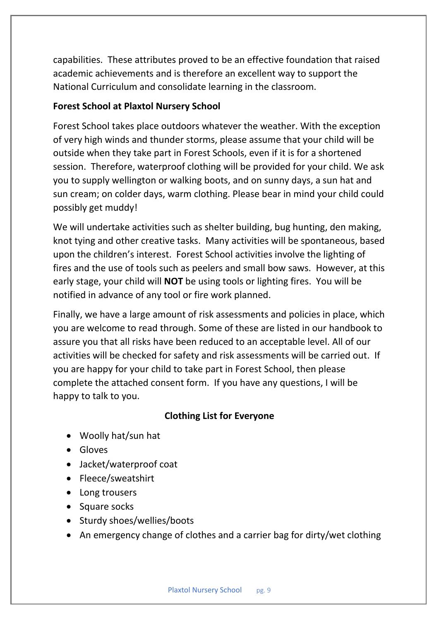capabilities. These attributes proved to be an effective foundation that raised academic achievements and is therefore an excellent way to support the National Curriculum and consolidate learning in the classroom.

#### **Forest School at Plaxtol Nursery School**

Forest School takes place outdoors whatever the weather. With the exception of very high winds and thunder storms, please assume that your child will be outside when they take part in Forest Schools, even if it is for a shortened session. Therefore, waterproof clothing will be provided for your child. We ask you to supply wellington or walking boots, and on sunny days, a sun hat and sun cream; on colder days, warm clothing. Please bear in mind your child could possibly get muddy!

We will undertake activities such as shelter building, bug hunting, den making, knot tying and other creative tasks. Many activities will be spontaneous, based upon the children's interest. Forest School activities involve the lighting of fires and the use of tools such as peelers and small bow saws. However, at this early stage, your child will **NOT** be using tools or lighting fires. You will be notified in advance of any tool or fire work planned.

Finally, we have a large amount of risk assessments and policies in place, which you are welcome to read through. Some of these are listed in our handbook to assure you that all risks have been reduced to an acceptable level. All of our activities will be checked for safety and risk assessments will be carried out. If you are happy for your child to take part in Forest School, then please complete the attached consent form. If you have any questions, I will be happy to talk to you.

#### **Clothing List for Everyone**

- Woolly hat/sun hat
- Gloves
- Jacket/waterproof coat
- Fleece/sweatshirt
- Long trousers
- Square socks
- Sturdy shoes/wellies/boots
- An emergency change of clothes and a carrier bag for dirty/wet clothing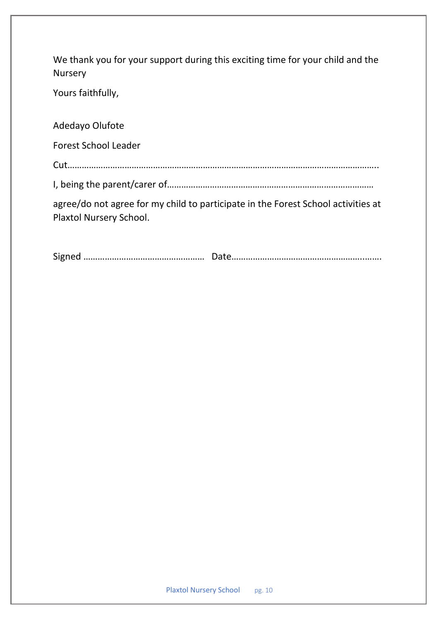We thank you for your support during this exciting time for your child and the Nursery

Yours faithfully,

Adedayo Olufote

Forest School Leader

Cut…………………………………………………………………………………………………………………..

I, being the parent/carer of……………………………………………………………………………

agree/do not agree for my child to participate in the Forest School activities at Plaxtol Nursery School.

Signed …………………………………………… Date………………………………………………..…….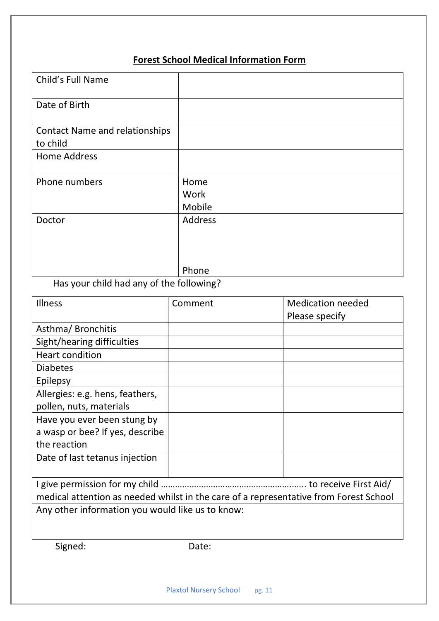# **Forest School Medical Information Form**

| Child's Full Name                                 |                        |
|---------------------------------------------------|------------------------|
| Date of Birth                                     |                        |
| <b>Contact Name and relationships</b><br>to child |                        |
| <b>Home Address</b>                               |                        |
| Phone numbers                                     | Home<br>Work<br>Mobile |
| Doctor                                            | Address                |
|                                                   | Phone                  |

# Has your child had any of the following?

| <b>Illness</b>                                                                        | Comment | <b>Medication needed</b> |
|---------------------------------------------------------------------------------------|---------|--------------------------|
|                                                                                       |         | Please specify           |
| Asthma/Bronchitis                                                                     |         |                          |
| Sight/hearing difficulties                                                            |         |                          |
| <b>Heart condition</b>                                                                |         |                          |
| <b>Diabetes</b>                                                                       |         |                          |
| Epilepsy                                                                              |         |                          |
| Allergies: e.g. hens, feathers,                                                       |         |                          |
| pollen, nuts, materials                                                               |         |                          |
| Have you ever been stung by                                                           |         |                          |
| a wasp or bee? If yes, describe                                                       |         |                          |
| the reaction                                                                          |         |                          |
| Date of last tetanus injection                                                        |         |                          |
|                                                                                       |         |                          |
|                                                                                       |         |                          |
| medical attention as needed whilst in the care of a representative from Forest School |         |                          |
| Any other information you would like us to know:                                      |         |                          |
|                                                                                       |         |                          |
|                                                                                       |         |                          |
| Signed:                                                                               | Date:   |                          |
|                                                                                       |         |                          |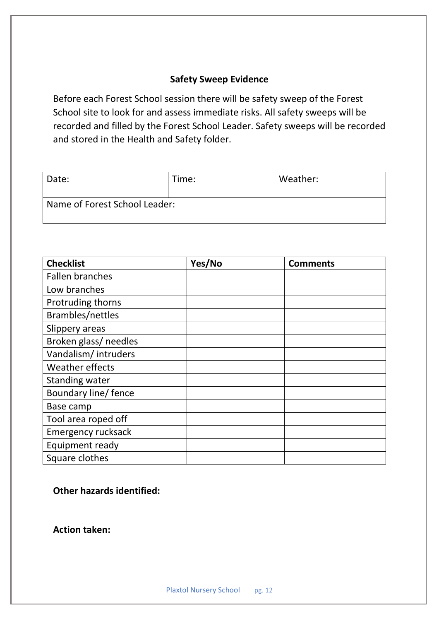#### **Safety Sweep Evidence**

Before each Forest School session there will be safety sweep of the Forest School site to look for and assess immediate risks. All safety sweeps will be recorded and filled by the Forest School Leader. Safety sweeps will be recorded and stored in the Health and Safety folder.

| Date:                         | Time: | Weather: |
|-------------------------------|-------|----------|
| Name of Forest School Leader: |       |          |

| <b>Checklist</b>          | Yes/No | <b>Comments</b> |
|---------------------------|--------|-----------------|
| <b>Fallen branches</b>    |        |                 |
| Low branches              |        |                 |
| Protruding thorns         |        |                 |
| Brambles/nettles          |        |                 |
| Slippery areas            |        |                 |
| Broken glass/ needles     |        |                 |
| Vandalism/intruders       |        |                 |
| <b>Weather effects</b>    |        |                 |
| <b>Standing water</b>     |        |                 |
| Boundary line/ fence      |        |                 |
| Base camp                 |        |                 |
| Tool area roped off       |        |                 |
| <b>Emergency rucksack</b> |        |                 |
| Equipment ready           |        |                 |
| Square clothes            |        |                 |

**Other hazards identified:**

**Action taken:**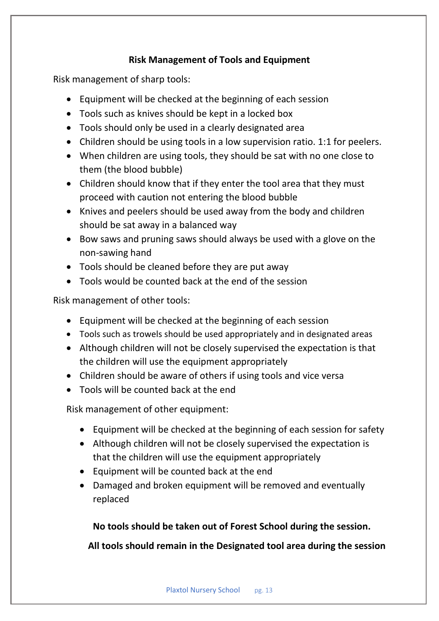#### **Risk Management of Tools and Equipment**

Risk management of sharp tools:

- Equipment will be checked at the beginning of each session
- Tools such as knives should be kept in a locked box
- Tools should only be used in a clearly designated area
- Children should be using tools in a low supervision ratio. 1:1 for peelers.
- When children are using tools, they should be sat with no one close to them (the blood bubble)
- Children should know that if they enter the tool area that they must proceed with caution not entering the blood bubble
- Knives and peelers should be used away from the body and children should be sat away in a balanced way
- Bow saws and pruning saws should always be used with a glove on the non-sawing hand
- Tools should be cleaned before they are put away
- Tools would be counted back at the end of the session

Risk management of other tools:

- Equipment will be checked at the beginning of each session
- Tools such as trowels should be used appropriately and in designated areas
- Although children will not be closely supervised the expectation is that the children will use the equipment appropriately
- Children should be aware of others if using tools and vice versa
- Tools will be counted back at the end

Risk management of other equipment:

- Equipment will be checked at the beginning of each session for safety
- Although children will not be closely supervised the expectation is that the children will use the equipment appropriately
- Equipment will be counted back at the end
- Damaged and broken equipment will be removed and eventually replaced

**No tools should be taken out of Forest School during the session.**

 **All tools should remain in the Designated tool area during the session**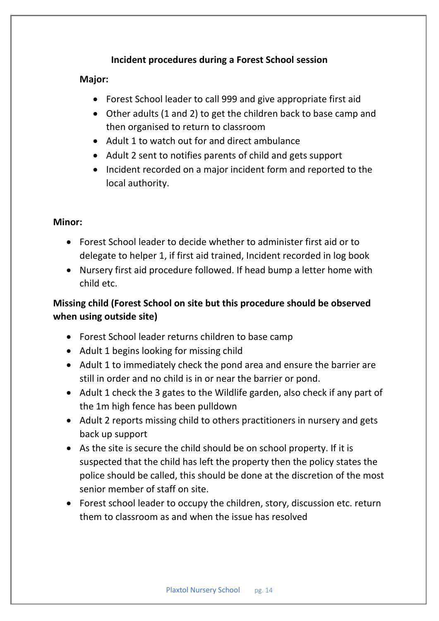#### **Incident procedures during a Forest School session**

#### **Major:**

- Forest School leader to call 999 and give appropriate first aid
- Other adults (1 and 2) to get the children back to base camp and then organised to return to classroom
- Adult 1 to watch out for and direct ambulance
- Adult 2 sent to notifies parents of child and gets support
- Incident recorded on a major incident form and reported to the local authority.

#### **Minor:**

- Forest School leader to decide whether to administer first aid or to delegate to helper 1, if first aid trained, Incident recorded in log book
- Nursery first aid procedure followed. If head bump a letter home with child etc.

## **Missing child (Forest School on site but this procedure should be observed when using outside site)**

- Forest School leader returns children to base camp
- Adult 1 begins looking for missing child
- Adult 1 to immediately check the pond area and ensure the barrier are still in order and no child is in or near the barrier or pond.
- Adult 1 check the 3 gates to the Wildlife garden, also check if any part of the 1m high fence has been pulldown
- Adult 2 reports missing child to others practitioners in nursery and gets back up support
- As the site is secure the child should be on school property. If it is suspected that the child has left the property then the policy states the police should be called, this should be done at the discretion of the most senior member of staff on site.
- Forest school leader to occupy the children, story, discussion etc. return them to classroom as and when the issue has resolved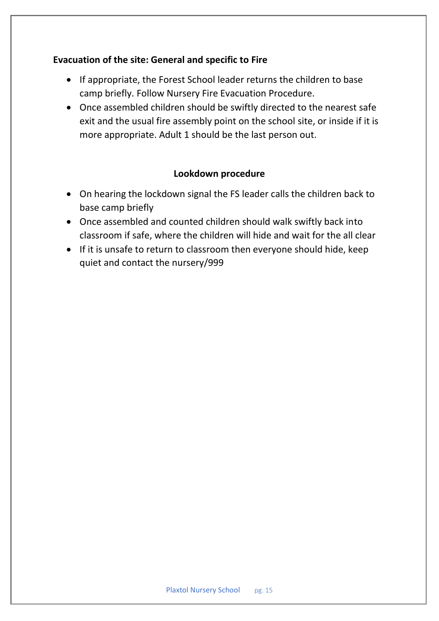#### **Evacuation of the site: General and specific to Fire**

- If appropriate, the Forest School leader returns the children to base camp briefly. Follow Nursery Fire Evacuation Procedure.
- Once assembled children should be swiftly directed to the nearest safe exit and the usual fire assembly point on the school site, or inside if it is more appropriate. Adult 1 should be the last person out.

#### **Lookdown procedure**

- On hearing the lockdown signal the FS leader calls the children back to base camp briefly
- Once assembled and counted children should walk swiftly back into classroom if safe, where the children will hide and wait for the all clear
- If it is unsafe to return to classroom then everyone should hide, keep quiet and contact the nursery/999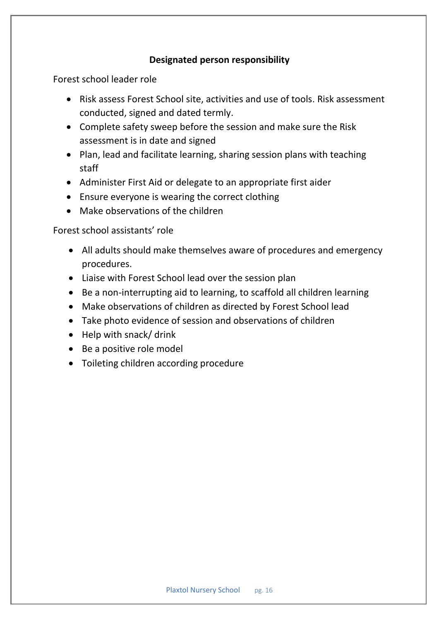#### **Designated person responsibility**

Forest school leader role

- Risk assess Forest School site, activities and use of tools. Risk assessment conducted, signed and dated termly.
- Complete safety sweep before the session and make sure the Risk assessment is in date and signed
- Plan, lead and facilitate learning, sharing session plans with teaching staff
- Administer First Aid or delegate to an appropriate first aider
- Ensure everyone is wearing the correct clothing
- Make observations of the children

Forest school assistants' role

- All adults should make themselves aware of procedures and emergency procedures.
- Liaise with Forest School lead over the session plan
- Be a non-interrupting aid to learning, to scaffold all children learning
- Make observations of children as directed by Forest School lead
- Take photo evidence of session and observations of children
- Help with snack/ drink
- Be a positive role model
- Toileting children according procedure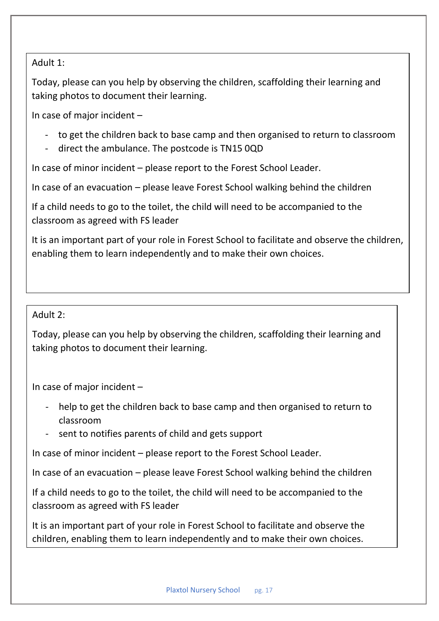#### Adult 1: Adult 1:

Today, please can you help by observing the children, scaffolding their learning and Today, please can you help by observing the children, scaffolding their learning and taking photos to document their learning. taking photos to document their learning.

In case of major incident – please open field gate and direct the ambulance. The ambulance of the ambulance of  $\sim$ 

- $\overline{p}$  to got the - to get the children back to base camp and then organised to return to classroom
- direct the ambulance. The postcode is TN15 0QD

In case of minor incident – please report to the Forest School Leader.

In case of an evacuation – please leave Forest School walking behind the children

 $\frac{1}{2}$  child noods to go to the toilet the classroom as agreed with FS leader and observe the children, and observe the children, and observe the children If a child needs to go to the toilet, the child will need to be accompanied to the

It is an important part of your role in Forest School to facilitate and observe the children, enabling them to learn independently and to make their own choices.

#### Adult 2:

Today, please can you help by observing the children, scaffolding their learning and taking photos to document their learning.

In case of major incident –

- help to get the children back to base camp and then organised to return to classroom
- sent to notifies parents of child and gets support

In case of minor incident – please report to the Forest School Leader.

In case of an evacuation – please leave Forest School walking behind the children

If a child needs to go to the toilet, the child will need to be accompanied to the classroom as agreed with FS leader

It is an important part of your role in Forest School to facilitate and observe the children, enabling them to learn independently and to make their own choices.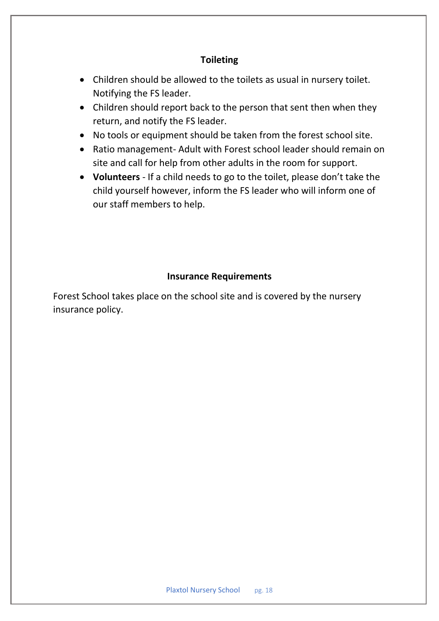#### **Toileting**

- Children should be allowed to the toilets as usual in nursery toilet. Notifying the FS leader.
- Children should report back to the person that sent then when they return, and notify the FS leader.
- No tools or equipment should be taken from the forest school site.
- Ratio management- Adult with Forest school leader should remain on site and call for help from other adults in the room for support.
- **Volunteers** If a child needs to go to the toilet, please don't take the child yourself however, inform the FS leader who will inform one of our staff members to help.

#### **Insurance Requirements**

Forest School takes place on the school site and is covered by the nursery insurance policy.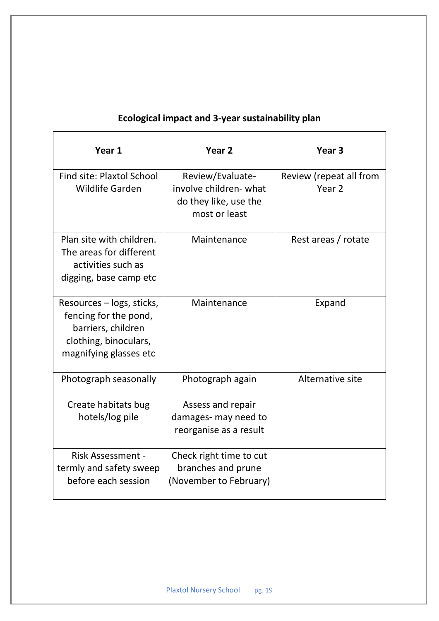| Year 1                                                                                                                      | Year <sub>2</sub>                                                                   | Year <sub>3</sub>                 |
|-----------------------------------------------------------------------------------------------------------------------------|-------------------------------------------------------------------------------------|-----------------------------------|
| Find site: Plaxtol School<br><b>Wildlife Garden</b>                                                                         | Review/Evaluate-<br>involve children-what<br>do they like, use the<br>most or least | Review (repeat all from<br>Year 2 |
| Plan site with children.<br>The areas for different<br>activities such as<br>digging, base camp etc                         | Maintenance                                                                         | Rest areas / rotate               |
| Resources – logs, sticks,<br>fencing for the pond,<br>barriers, children<br>clothing, binoculars,<br>magnifying glasses etc | Maintenance                                                                         | Expand                            |
| Photograph seasonally                                                                                                       | Photograph again                                                                    | Alternative site                  |
| Create habitats bug<br>hotels/log pile                                                                                      | Assess and repair<br>damages- may need to<br>reorganise as a result                 |                                   |
| <b>Risk Assessment -</b><br>termly and safety sweep<br>before each session                                                  | Check right time to cut<br>branches and prune<br>(November to February)             |                                   |

# **Ecological impact and 3-year sustainability plan**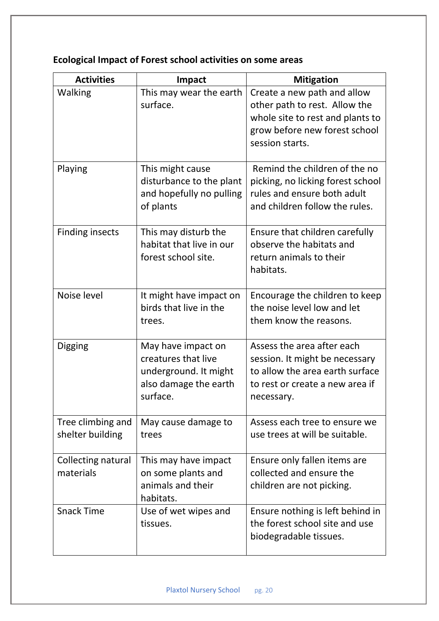| <b>Activities</b>                     | <b>Impact</b>                                                                                           | <b>Mitigation</b>                                                                                                                                    |
|---------------------------------------|---------------------------------------------------------------------------------------------------------|------------------------------------------------------------------------------------------------------------------------------------------------------|
| Walking                               | This may wear the earth<br>surface.                                                                     | Create a new path and allow<br>other path to rest. Allow the<br>whole site to rest and plants to<br>grow before new forest school<br>session starts. |
| Playing                               | This might cause<br>disturbance to the plant<br>and hopefully no pulling<br>of plants                   | Remind the children of the no<br>picking, no licking forest school<br>rules and ensure both adult<br>and children follow the rules.                  |
| <b>Finding insects</b>                | This may disturb the<br>habitat that live in our<br>forest school site.                                 | Ensure that children carefully<br>observe the habitats and<br>return animals to their<br>habitats.                                                   |
| Noise level                           | It might have impact on<br>birds that live in the<br>trees.                                             | Encourage the children to keep<br>the noise level low and let<br>them know the reasons.                                                              |
| <b>Digging</b>                        | May have impact on<br>creatures that live<br>underground. It might<br>also damage the earth<br>surface. | Assess the area after each<br>session. It might be necessary<br>to allow the area earth surface<br>to rest or create a new area if<br>necessary.     |
| Tree climbing and<br>shelter building | May cause damage to<br>trees                                                                            | Assess each tree to ensure we<br>use trees at will be suitable.                                                                                      |
| Collecting natural<br>materials       | This may have impact<br>on some plants and<br>animals and their<br>habitats.                            | Ensure only fallen items are<br>collected and ensure the<br>children are not picking.                                                                |
| <b>Snack Time</b>                     | Use of wet wipes and<br>tissues.                                                                        | Ensure nothing is left behind in<br>the forest school site and use<br>biodegradable tissues.                                                         |

# **Ecological Impact of Forest school activities on some areas**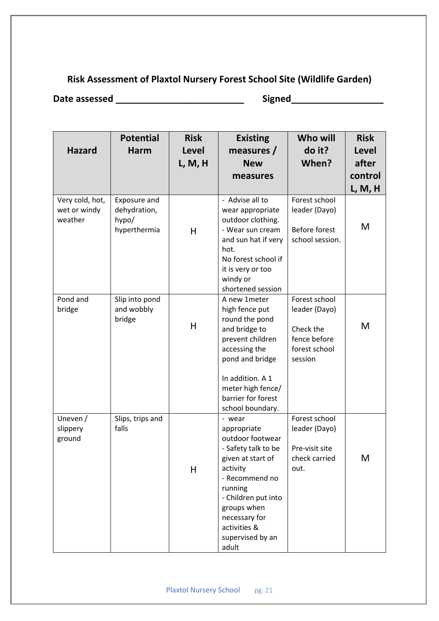# **Risk Assessment of Plaxtol Nursery Forest School Site (Wildlife Garden)**

**Date assessed \_\_\_\_\_\_\_\_\_\_\_\_\_\_\_\_\_\_\_\_\_\_\_\_\_ Signed\_\_\_\_\_\_\_\_\_\_\_\_\_\_\_\_\_\_**

| <b>Hazard</b>                              | <b>Potential</b><br><b>Harm</b>                       | <b>Risk</b><br><b>Level</b><br>L, M, H | <b>Existing</b><br>measures $/$<br><b>New</b><br>measures                                                                                                                                                                                              | Who will<br>do it?<br>When?                                                             | <b>Risk</b><br>Level<br>after<br>control<br>L, M, H |
|--------------------------------------------|-------------------------------------------------------|----------------------------------------|--------------------------------------------------------------------------------------------------------------------------------------------------------------------------------------------------------------------------------------------------------|-----------------------------------------------------------------------------------------|-----------------------------------------------------|
| Very cold, hot,<br>wet or windy<br>weather | Exposure and<br>dehydration,<br>hypo/<br>hyperthermia | H                                      | - Advise all to<br>wear appropriate<br>outdoor clothing.<br>- Wear sun cream<br>and sun hat if very<br>hot.<br>No forest school if<br>it is very or too<br>windy or                                                                                    | Forest school<br>leader (Dayo)<br><b>Before forest</b><br>school session.               | M                                                   |
| Pond and<br>bridge                         | Slip into pond<br>and wobbly<br>bridge                | H                                      | shortened session<br>A new 1meter<br>high fence put<br>round the pond<br>and bridge to<br>prevent children<br>accessing the<br>pond and bridge<br>In addition. A 1<br>meter high fence/<br>barrier for forest                                          | Forest school<br>leader (Dayo)<br>Check the<br>fence before<br>forest school<br>session | M                                                   |
| Uneven /<br>slippery<br>ground             | Slips, trips and<br>falls                             | H                                      | school boundary.<br>- wear<br>appropriate<br>outdoor footwear<br>- Safety talk to be<br>given at start of<br>activity<br>- Recommend no<br>running<br>- Children put into<br>groups when<br>necessary for<br>activities &<br>supervised by an<br>adult | Forest school<br>leader (Dayo)<br>Pre-visit site<br>check carried<br>out.               | М                                                   |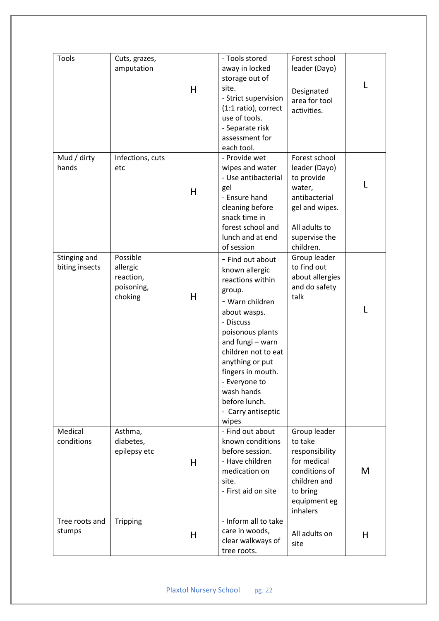| Tools                          | Cuts, grazes,<br>amputation                                | H | - Tools stored<br>away in locked<br>storage out of<br>site.<br>- Strict supervision<br>(1:1 ratio), correct<br>use of tools.<br>- Separate risk<br>assessment for<br>each tool.                                                                                                                        | Forest school<br>leader (Dayo)<br>Designated<br>area for tool<br>activities.                                                             | L |
|--------------------------------|------------------------------------------------------------|---|--------------------------------------------------------------------------------------------------------------------------------------------------------------------------------------------------------------------------------------------------------------------------------------------------------|------------------------------------------------------------------------------------------------------------------------------------------|---|
| Mud / dirty<br>hands           | Infections, cuts<br>etc                                    | H | - Provide wet<br>wipes and water<br>- Use antibacterial<br>gel<br>- Ensure hand<br>cleaning before<br>snack time in<br>forest school and<br>lunch and at end<br>of session                                                                                                                             | Forest school<br>leader (Dayo)<br>to provide<br>water,<br>antibacterial<br>gel and wipes.<br>All adults to<br>supervise the<br>children. | L |
| Stinging and<br>biting insects | Possible<br>allergic<br>reaction,<br>poisoning,<br>choking | H | - Find out about<br>known allergic<br>reactions within<br>group.<br>- Warn children<br>about wasps.<br>- Discuss<br>poisonous plants<br>and fungi - warn<br>children not to eat<br>anything or put<br>fingers in mouth.<br>- Everyone to<br>wash hands<br>before lunch.<br>- Carry antiseptic<br>wipes | Group leader<br>to find out<br>about allergies<br>and do safety<br>talk                                                                  | L |
| Medical<br>conditions          | Asthma,<br>diabetes,<br>epilepsy etc                       | H | - Find out about<br>known conditions<br>before session.<br>- Have children<br>medication on<br>site.<br>- First aid on site                                                                                                                                                                            | Group leader<br>to take<br>responsibility<br>for medical<br>conditions of<br>children and<br>to bring<br>equipment eg<br>inhalers        | M |
| Tree roots and<br>stumps       | <b>Tripping</b>                                            | H | - Inform all to take<br>care in woods,<br>clear walkways of<br>tree roots.                                                                                                                                                                                                                             | All adults on<br>site                                                                                                                    | H |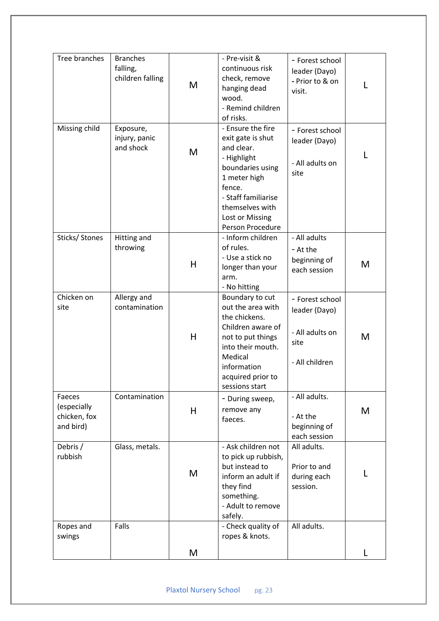| Tree branches<br>- Pre-visit &<br><b>Branches</b><br>- Forest school<br>falling,<br>continuous risk<br>leader (Dayo)<br>children falling<br>check, remove<br>- Prior to & on<br>M<br>L<br>hanging dead<br>visit.<br>wood.<br>- Remind children<br>of risks.<br>Missing child<br>- Ensure the fire<br>Exposure,<br>- Forest school<br>injury, panic<br>exit gate is shut<br>leader (Dayo)<br>and shock<br>and clear.<br>M<br>L<br>- Highlight<br>- All adults on<br>boundaries using<br>site<br>1 meter high<br>fence.<br>- Staff familiarise<br>themselves with<br>Lost or Missing<br>Person Procedure<br>Sticks/ Stones<br>Hitting and<br>- Inform children<br>- All adults<br>of rules.<br>throwing<br>- At the<br>- Use a stick no<br>beginning of<br>H<br>M<br>longer than your<br>each session<br>arm.<br>- No hitting<br>Chicken on<br>Allergy and<br>Boundary to cut<br>- Forest school<br>out the area with<br>contamination<br>site<br>leader (Dayo)<br>the chickens.<br>Children aware of<br>- All adults on<br>H<br>M<br>not to put things<br>site<br>into their mouth.<br>Medical<br>- All children<br>information<br>acquired prior to<br>sessions start<br>Contamination<br>- All adults.<br>Faeces<br>- During sweep,<br>(especially<br>remove any<br>H<br>M<br>chicken, fox<br>- At the<br>faeces.<br>beginning of<br>and bird)<br>each session<br>Glass, metals.<br>- Ask children not<br>All adults.<br>Debris /<br>rubbish<br>to pick up rubbish,<br>but instead to<br>Prior to and<br>M<br>L<br>inform an adult if<br>during each<br>they find<br>session.<br>something.<br>- Adult to remove<br>safely.<br>Falls<br>- Check quality of<br>All adults.<br>Ropes and<br>ropes & knots.<br>swings<br>M<br>L |  |  |  |
|-------------------------------------------------------------------------------------------------------------------------------------------------------------------------------------------------------------------------------------------------------------------------------------------------------------------------------------------------------------------------------------------------------------------------------------------------------------------------------------------------------------------------------------------------------------------------------------------------------------------------------------------------------------------------------------------------------------------------------------------------------------------------------------------------------------------------------------------------------------------------------------------------------------------------------------------------------------------------------------------------------------------------------------------------------------------------------------------------------------------------------------------------------------------------------------------------------------------------------------------------------------------------------------------------------------------------------------------------------------------------------------------------------------------------------------------------------------------------------------------------------------------------------------------------------------------------------------------------------------------------------------------------------------------------------------------------------------------------------|--|--|--|
|                                                                                                                                                                                                                                                                                                                                                                                                                                                                                                                                                                                                                                                                                                                                                                                                                                                                                                                                                                                                                                                                                                                                                                                                                                                                                                                                                                                                                                                                                                                                                                                                                                                                                                                               |  |  |  |
|                                                                                                                                                                                                                                                                                                                                                                                                                                                                                                                                                                                                                                                                                                                                                                                                                                                                                                                                                                                                                                                                                                                                                                                                                                                                                                                                                                                                                                                                                                                                                                                                                                                                                                                               |  |  |  |
|                                                                                                                                                                                                                                                                                                                                                                                                                                                                                                                                                                                                                                                                                                                                                                                                                                                                                                                                                                                                                                                                                                                                                                                                                                                                                                                                                                                                                                                                                                                                                                                                                                                                                                                               |  |  |  |
|                                                                                                                                                                                                                                                                                                                                                                                                                                                                                                                                                                                                                                                                                                                                                                                                                                                                                                                                                                                                                                                                                                                                                                                                                                                                                                                                                                                                                                                                                                                                                                                                                                                                                                                               |  |  |  |
|                                                                                                                                                                                                                                                                                                                                                                                                                                                                                                                                                                                                                                                                                                                                                                                                                                                                                                                                                                                                                                                                                                                                                                                                                                                                                                                                                                                                                                                                                                                                                                                                                                                                                                                               |  |  |  |
|                                                                                                                                                                                                                                                                                                                                                                                                                                                                                                                                                                                                                                                                                                                                                                                                                                                                                                                                                                                                                                                                                                                                                                                                                                                                                                                                                                                                                                                                                                                                                                                                                                                                                                                               |  |  |  |
|                                                                                                                                                                                                                                                                                                                                                                                                                                                                                                                                                                                                                                                                                                                                                                                                                                                                                                                                                                                                                                                                                                                                                                                                                                                                                                                                                                                                                                                                                                                                                                                                                                                                                                                               |  |  |  |
|                                                                                                                                                                                                                                                                                                                                                                                                                                                                                                                                                                                                                                                                                                                                                                                                                                                                                                                                                                                                                                                                                                                                                                                                                                                                                                                                                                                                                                                                                                                                                                                                                                                                                                                               |  |  |  |
|                                                                                                                                                                                                                                                                                                                                                                                                                                                                                                                                                                                                                                                                                                                                                                                                                                                                                                                                                                                                                                                                                                                                                                                                                                                                                                                                                                                                                                                                                                                                                                                                                                                                                                                               |  |  |  |
|                                                                                                                                                                                                                                                                                                                                                                                                                                                                                                                                                                                                                                                                                                                                                                                                                                                                                                                                                                                                                                                                                                                                                                                                                                                                                                                                                                                                                                                                                                                                                                                                                                                                                                                               |  |  |  |
|                                                                                                                                                                                                                                                                                                                                                                                                                                                                                                                                                                                                                                                                                                                                                                                                                                                                                                                                                                                                                                                                                                                                                                                                                                                                                                                                                                                                                                                                                                                                                                                                                                                                                                                               |  |  |  |
|                                                                                                                                                                                                                                                                                                                                                                                                                                                                                                                                                                                                                                                                                                                                                                                                                                                                                                                                                                                                                                                                                                                                                                                                                                                                                                                                                                                                                                                                                                                                                                                                                                                                                                                               |  |  |  |
|                                                                                                                                                                                                                                                                                                                                                                                                                                                                                                                                                                                                                                                                                                                                                                                                                                                                                                                                                                                                                                                                                                                                                                                                                                                                                                                                                                                                                                                                                                                                                                                                                                                                                                                               |  |  |  |
|                                                                                                                                                                                                                                                                                                                                                                                                                                                                                                                                                                                                                                                                                                                                                                                                                                                                                                                                                                                                                                                                                                                                                                                                                                                                                                                                                                                                                                                                                                                                                                                                                                                                                                                               |  |  |  |
|                                                                                                                                                                                                                                                                                                                                                                                                                                                                                                                                                                                                                                                                                                                                                                                                                                                                                                                                                                                                                                                                                                                                                                                                                                                                                                                                                                                                                                                                                                                                                                                                                                                                                                                               |  |  |  |
|                                                                                                                                                                                                                                                                                                                                                                                                                                                                                                                                                                                                                                                                                                                                                                                                                                                                                                                                                                                                                                                                                                                                                                                                                                                                                                                                                                                                                                                                                                                                                                                                                                                                                                                               |  |  |  |
|                                                                                                                                                                                                                                                                                                                                                                                                                                                                                                                                                                                                                                                                                                                                                                                                                                                                                                                                                                                                                                                                                                                                                                                                                                                                                                                                                                                                                                                                                                                                                                                                                                                                                                                               |  |  |  |
|                                                                                                                                                                                                                                                                                                                                                                                                                                                                                                                                                                                                                                                                                                                                                                                                                                                                                                                                                                                                                                                                                                                                                                                                                                                                                                                                                                                                                                                                                                                                                                                                                                                                                                                               |  |  |  |
|                                                                                                                                                                                                                                                                                                                                                                                                                                                                                                                                                                                                                                                                                                                                                                                                                                                                                                                                                                                                                                                                                                                                                                                                                                                                                                                                                                                                                                                                                                                                                                                                                                                                                                                               |  |  |  |
|                                                                                                                                                                                                                                                                                                                                                                                                                                                                                                                                                                                                                                                                                                                                                                                                                                                                                                                                                                                                                                                                                                                                                                                                                                                                                                                                                                                                                                                                                                                                                                                                                                                                                                                               |  |  |  |
|                                                                                                                                                                                                                                                                                                                                                                                                                                                                                                                                                                                                                                                                                                                                                                                                                                                                                                                                                                                                                                                                                                                                                                                                                                                                                                                                                                                                                                                                                                                                                                                                                                                                                                                               |  |  |  |
|                                                                                                                                                                                                                                                                                                                                                                                                                                                                                                                                                                                                                                                                                                                                                                                                                                                                                                                                                                                                                                                                                                                                                                                                                                                                                                                                                                                                                                                                                                                                                                                                                                                                                                                               |  |  |  |
|                                                                                                                                                                                                                                                                                                                                                                                                                                                                                                                                                                                                                                                                                                                                                                                                                                                                                                                                                                                                                                                                                                                                                                                                                                                                                                                                                                                                                                                                                                                                                                                                                                                                                                                               |  |  |  |
|                                                                                                                                                                                                                                                                                                                                                                                                                                                                                                                                                                                                                                                                                                                                                                                                                                                                                                                                                                                                                                                                                                                                                                                                                                                                                                                                                                                                                                                                                                                                                                                                                                                                                                                               |  |  |  |
|                                                                                                                                                                                                                                                                                                                                                                                                                                                                                                                                                                                                                                                                                                                                                                                                                                                                                                                                                                                                                                                                                                                                                                                                                                                                                                                                                                                                                                                                                                                                                                                                                                                                                                                               |  |  |  |
|                                                                                                                                                                                                                                                                                                                                                                                                                                                                                                                                                                                                                                                                                                                                                                                                                                                                                                                                                                                                                                                                                                                                                                                                                                                                                                                                                                                                                                                                                                                                                                                                                                                                                                                               |  |  |  |
|                                                                                                                                                                                                                                                                                                                                                                                                                                                                                                                                                                                                                                                                                                                                                                                                                                                                                                                                                                                                                                                                                                                                                                                                                                                                                                                                                                                                                                                                                                                                                                                                                                                                                                                               |  |  |  |
|                                                                                                                                                                                                                                                                                                                                                                                                                                                                                                                                                                                                                                                                                                                                                                                                                                                                                                                                                                                                                                                                                                                                                                                                                                                                                                                                                                                                                                                                                                                                                                                                                                                                                                                               |  |  |  |
|                                                                                                                                                                                                                                                                                                                                                                                                                                                                                                                                                                                                                                                                                                                                                                                                                                                                                                                                                                                                                                                                                                                                                                                                                                                                                                                                                                                                                                                                                                                                                                                                                                                                                                                               |  |  |  |
|                                                                                                                                                                                                                                                                                                                                                                                                                                                                                                                                                                                                                                                                                                                                                                                                                                                                                                                                                                                                                                                                                                                                                                                                                                                                                                                                                                                                                                                                                                                                                                                                                                                                                                                               |  |  |  |
|                                                                                                                                                                                                                                                                                                                                                                                                                                                                                                                                                                                                                                                                                                                                                                                                                                                                                                                                                                                                                                                                                                                                                                                                                                                                                                                                                                                                                                                                                                                                                                                                                                                                                                                               |  |  |  |
|                                                                                                                                                                                                                                                                                                                                                                                                                                                                                                                                                                                                                                                                                                                                                                                                                                                                                                                                                                                                                                                                                                                                                                                                                                                                                                                                                                                                                                                                                                                                                                                                                                                                                                                               |  |  |  |
|                                                                                                                                                                                                                                                                                                                                                                                                                                                                                                                                                                                                                                                                                                                                                                                                                                                                                                                                                                                                                                                                                                                                                                                                                                                                                                                                                                                                                                                                                                                                                                                                                                                                                                                               |  |  |  |
|                                                                                                                                                                                                                                                                                                                                                                                                                                                                                                                                                                                                                                                                                                                                                                                                                                                                                                                                                                                                                                                                                                                                                                                                                                                                                                                                                                                                                                                                                                                                                                                                                                                                                                                               |  |  |  |
|                                                                                                                                                                                                                                                                                                                                                                                                                                                                                                                                                                                                                                                                                                                                                                                                                                                                                                                                                                                                                                                                                                                                                                                                                                                                                                                                                                                                                                                                                                                                                                                                                                                                                                                               |  |  |  |
|                                                                                                                                                                                                                                                                                                                                                                                                                                                                                                                                                                                                                                                                                                                                                                                                                                                                                                                                                                                                                                                                                                                                                                                                                                                                                                                                                                                                                                                                                                                                                                                                                                                                                                                               |  |  |  |
|                                                                                                                                                                                                                                                                                                                                                                                                                                                                                                                                                                                                                                                                                                                                                                                                                                                                                                                                                                                                                                                                                                                                                                                                                                                                                                                                                                                                                                                                                                                                                                                                                                                                                                                               |  |  |  |
|                                                                                                                                                                                                                                                                                                                                                                                                                                                                                                                                                                                                                                                                                                                                                                                                                                                                                                                                                                                                                                                                                                                                                                                                                                                                                                                                                                                                                                                                                                                                                                                                                                                                                                                               |  |  |  |
|                                                                                                                                                                                                                                                                                                                                                                                                                                                                                                                                                                                                                                                                                                                                                                                                                                                                                                                                                                                                                                                                                                                                                                                                                                                                                                                                                                                                                                                                                                                                                                                                                                                                                                                               |  |  |  |
|                                                                                                                                                                                                                                                                                                                                                                                                                                                                                                                                                                                                                                                                                                                                                                                                                                                                                                                                                                                                                                                                                                                                                                                                                                                                                                                                                                                                                                                                                                                                                                                                                                                                                                                               |  |  |  |
|                                                                                                                                                                                                                                                                                                                                                                                                                                                                                                                                                                                                                                                                                                                                                                                                                                                                                                                                                                                                                                                                                                                                                                                                                                                                                                                                                                                                                                                                                                                                                                                                                                                                                                                               |  |  |  |
|                                                                                                                                                                                                                                                                                                                                                                                                                                                                                                                                                                                                                                                                                                                                                                                                                                                                                                                                                                                                                                                                                                                                                                                                                                                                                                                                                                                                                                                                                                                                                                                                                                                                                                                               |  |  |  |
|                                                                                                                                                                                                                                                                                                                                                                                                                                                                                                                                                                                                                                                                                                                                                                                                                                                                                                                                                                                                                                                                                                                                                                                                                                                                                                                                                                                                                                                                                                                                                                                                                                                                                                                               |  |  |  |
|                                                                                                                                                                                                                                                                                                                                                                                                                                                                                                                                                                                                                                                                                                                                                                                                                                                                                                                                                                                                                                                                                                                                                                                                                                                                                                                                                                                                                                                                                                                                                                                                                                                                                                                               |  |  |  |
|                                                                                                                                                                                                                                                                                                                                                                                                                                                                                                                                                                                                                                                                                                                                                                                                                                                                                                                                                                                                                                                                                                                                                                                                                                                                                                                                                                                                                                                                                                                                                                                                                                                                                                                               |  |  |  |
|                                                                                                                                                                                                                                                                                                                                                                                                                                                                                                                                                                                                                                                                                                                                                                                                                                                                                                                                                                                                                                                                                                                                                                                                                                                                                                                                                                                                                                                                                                                                                                                                                                                                                                                               |  |  |  |
|                                                                                                                                                                                                                                                                                                                                                                                                                                                                                                                                                                                                                                                                                                                                                                                                                                                                                                                                                                                                                                                                                                                                                                                                                                                                                                                                                                                                                                                                                                                                                                                                                                                                                                                               |  |  |  |
|                                                                                                                                                                                                                                                                                                                                                                                                                                                                                                                                                                                                                                                                                                                                                                                                                                                                                                                                                                                                                                                                                                                                                                                                                                                                                                                                                                                                                                                                                                                                                                                                                                                                                                                               |  |  |  |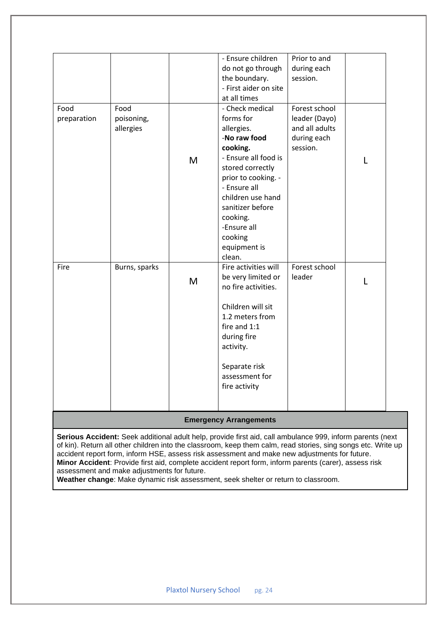| - Ensure children<br>Prior to and     |
|---------------------------------------|
|                                       |
| do not go through<br>during each      |
| the boundary.<br>session.             |
| - First aider on site                 |
| at all times                          |
| Forest school<br>- Check medical      |
| leader (Dayo)                         |
| and all adults                        |
| -No raw food<br>during each           |
| session.                              |
| - Ensure all food is<br>L             |
| stored correctly                      |
| prior to cooking. -                   |
| - Ensure all                          |
| children use hand                     |
| sanitizer before                      |
|                                       |
|                                       |
|                                       |
| equipment is                          |
|                                       |
| Forest school<br>Fire activities will |
| leader                                |
| be very limited or<br>L               |
| no fire activities.                   |
|                                       |
| Children will sit                     |
| 1.2 meters from                       |
| fire and 1:1                          |
|                                       |
|                                       |
|                                       |
| Separate risk                         |
| assessment for                        |
| fire activity                         |
|                                       |
|                                       |
| -Ensure all<br>during fire            |

#### **Emergency Arrangements**

**Serious Accident:** Seek additional adult help, provide first aid, call ambulance 999, inform parents (next of kin). Return all other children into the classroom, keep them calm, read stories, sing songs etc. Write up accident report form, inform HSE, assess risk assessment and make new adjustments for future. **Minor Accident**: Provide first aid, complete accident report form, inform parents (carer), assess risk assessment and make adjustments for future.

**Weather change**: Make dynamic risk assessment, seek shelter or return to classroom.